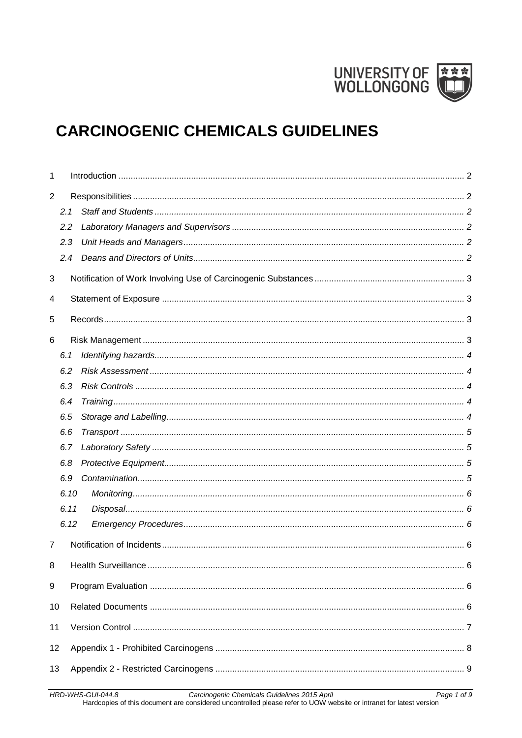

# **CARCINOGENIC CHEMICALS GUIDELINES**

| 1              |      |  |
|----------------|------|--|
| $\overline{2}$ |      |  |
|                | 2.1  |  |
|                | 2.2  |  |
|                | 2.3  |  |
|                | 2.4  |  |
| 3              |      |  |
| 4              |      |  |
|                |      |  |
| 5              |      |  |
| 6              |      |  |
|                | 6.1  |  |
|                | 6.2  |  |
|                | 6.3  |  |
|                | 6.4  |  |
|                | 6.5  |  |
|                | 6.6  |  |
|                | 6.7  |  |
|                | 6.8  |  |
|                | 6.9  |  |
|                | 6.10 |  |
|                | 6.11 |  |
|                | 6.12 |  |
| $\overline{7}$ |      |  |
| 8              |      |  |
| 9              |      |  |
| 10             |      |  |
| 11             |      |  |
|                |      |  |
| 12             |      |  |
| 13             |      |  |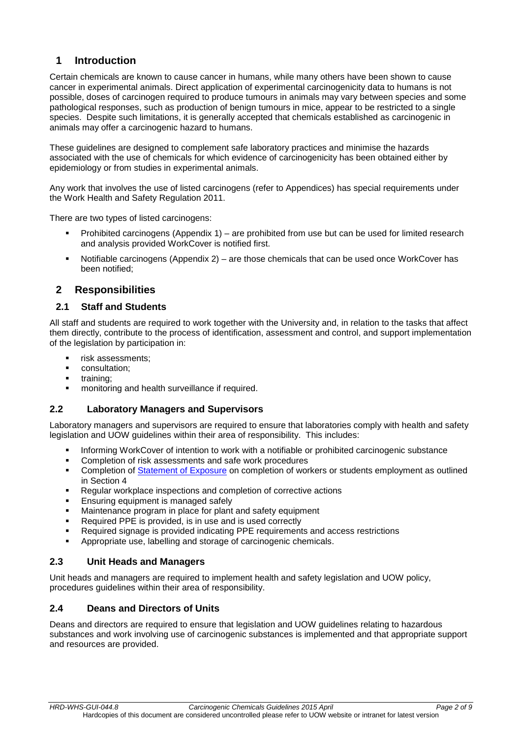# <span id="page-1-0"></span>**1 Introduction**

Certain chemicals are known to cause cancer in humans, while many others have been shown to cause cancer in experimental animals. Direct application of experimental carcinogenicity data to humans is not possible, doses of carcinogen required to produce tumours in animals may vary between species and some pathological responses, such as production of benign tumours in mice, appear to be restricted to a single species. Despite such limitations, it is generally accepted that chemicals established as carcinogenic in animals may offer a carcinogenic hazard to humans.

These guidelines are designed to complement safe laboratory practices and minimise the hazards associated with the use of chemicals for which evidence of carcinogenicity has been obtained either by epidemiology or from studies in experimental animals.

Any work that involves the use of listed carcinogens (refer to Appendices) has special requirements under the Work Health and Safety Regulation 2011.

There are two types of listed carcinogens:

- **Prohibited carcinogens (Appendix 1)** are prohibited from use but can be used for limited research and analysis provided WorkCover is notified first.
- Notifiable carcinogens (Appendix 2) are those chemicals that can be used once WorkCover has been notified;

## <span id="page-1-1"></span>**2 Responsibilities**

#### <span id="page-1-2"></span>**2.1 Staff and Students**

All staff and students are required to work together with the University and, in relation to the tasks that affect them directly, contribute to the process of identification, assessment and control, and support implementation of the legislation by participation in:

- **risk assessments;**
- **•** consultation;
- **training**;
- **•** monitoring and health surveillance if required.

#### <span id="page-1-3"></span>**2.2 Laboratory Managers and Supervisors**

Laboratory managers and supervisors are required to ensure that laboratories comply with health and safety legislation and UOW guidelines within their area of responsibility. This includes:

- Informing WorkCover of intention to work with a notifiable or prohibited carcinogenic substance
- Completion of risk assessments and safe work procedures
- **•** Completion of [Statement of Exposure](https://cmsprd.uow.edu.au/content/idcplg?IdcService=GET_FILE&dDocName=UOW191679&RevisionSelectionMethod=latestReleased) on completion of workers or students employment as outlined in Section 4
- **Regular workplace inspections and completion of corrective actions**
- Ensuring equipment is managed safely
- Maintenance program in place for plant and safety equipment
- Required PPE is provided, is in use and is used correctly
- Required signage is provided indicating PPE requirements and access restrictions
- Appropriate use, labelling and storage of carcinogenic chemicals.

#### <span id="page-1-4"></span>**2.3 Unit Heads and Managers**

Unit heads and managers are required to implement health and safety legislation and UOW policy, procedures guidelines within their area of responsibility.

#### <span id="page-1-5"></span>**2.4 Deans and Directors of Units**

Deans and directors are required to ensure that legislation and UOW guidelines relating to hazardous substances and work involving use of carcinogenic substances is implemented and that appropriate support and resources are provided.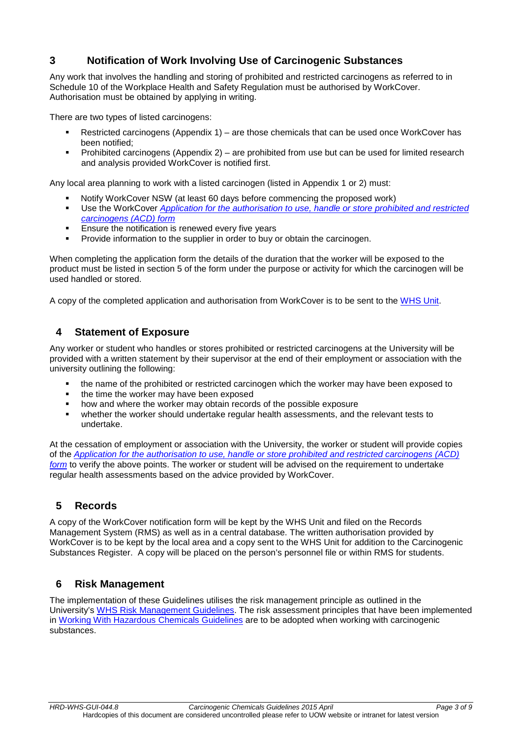# <span id="page-2-0"></span>**3 Notification of Work Involving Use of Carcinogenic Substances**

Any work that involves the handling and storing of prohibited and restricted carcinogens as referred to in Schedule 10 of the Workplace Health and Safety Regulation must be authorised by WorkCover. Authorisation must be obtained by applying in writing.

There are two types of listed carcinogens:

- Restricted carcinogens (Appendix 1) are those chemicals that can be used once WorkCover has been notified;
- Prohibited carcinogens (Appendix 2) are prohibited from use but can be used for limited research and analysis provided WorkCover is notified first.

Any local area planning to work with a listed carcinogen (listed in Appendix 1 or 2) must:

- Notify WorkCover NSW (at least 60 days before commencing the proposed work)
- Use the WorkCover *[Application for the authorisation to use, handle or store prohibited and restricted](http://www.workcover.nsw.gov.au/licences-and-registrations/notifications-and-permits/carcinogenic-substances-notification)  [carcinogens \(ACD\) form](http://www.workcover.nsw.gov.au/licences-and-registrations/notifications-and-permits/carcinogenic-substances-notification)*
- **Ensure the notification is renewed every five years**
- **Provide information to the supplier in order to buy or obtain the carcinogen.**

When completing the application form the details of the duration that the worker will be exposed to the product must be listed in section 5 of the form under the purpose or activity for which the carcinogen will be used handled or stored.

A copy of the completed application and authorisation from WorkCover is to be sent to the [WHS Unit.](mailto:WHS-admin@uow.edu.au)

# <span id="page-2-1"></span>**4 Statement of Exposure**

Any worker or student who handles or stores prohibited or restricted carcinogens at the University will be provided with a written statement by their supervisor at the end of their employment or association with the university outlining the following:

- the name of the prohibited or restricted carcinogen which the worker may have been exposed to
- the time the worker may have been exposed
- **•** how and where the worker may obtain records of the possible exposure
- whether the worker should undertake regular health assessments, and the relevant tests to undertake.

At the cessation of employment or association with the University, the worker or student will provide copies of the *[Application for the authorisation to use, handle or store prohibited and restricted carcinogens \(ACD\)](http://www.workcover.nsw.gov.au/licences-and-registrations/notifications-and-permits/carcinogenic-substances-notification)  [form](http://www.workcover.nsw.gov.au/licences-and-registrations/notifications-and-permits/carcinogenic-substances-notification)* to verify the above points. The worker or student will be advised on the requirement to undertake regular health assessments based on the advice provided by WorkCover.

# <span id="page-2-2"></span>**5 Records**

A copy of the WorkCover notification form will be kept by the WHS Unit and filed on the Records Management System (RMS) as well as in a central database. The written authorisation provided by WorkCover is to be kept by the local area and a copy sent to the WHS Unit for addition to the Carcinogenic Substances Register. A copy will be placed on the person's personnel file or within RMS for students.

# <span id="page-2-3"></span>**6 Risk Management**

The implementation of these Guidelines utilises the risk management principle as outlined in the University's [WHS Risk Management Guidelines.](http://staff.uow.edu.au/content/groups/public/@web/@ohs/documents/doc/uow016948.pdf) The risk assessment principles that have been implemented in [Working With Hazardous Chemicals](http://staff.uow.edu.au/content/groups/public/@web/@ohs/documents/doc/uow017028.pdf) Guidelines are to be adopted when working with carcinogenic substances.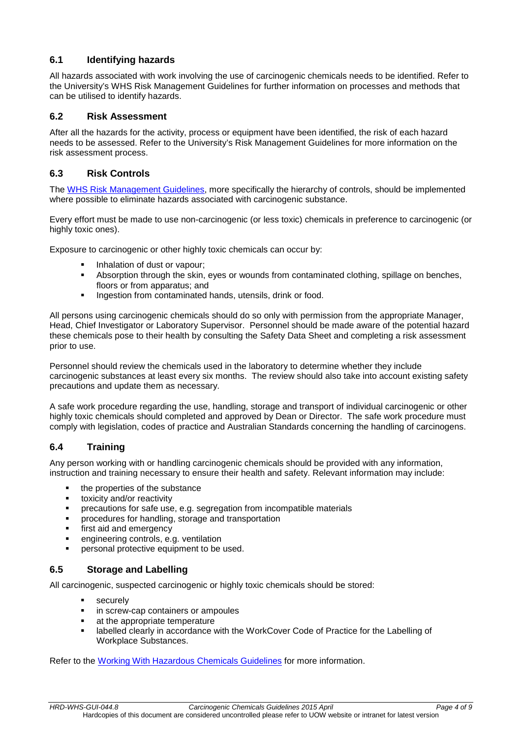## <span id="page-3-0"></span>**6.1 Identifying hazards**

All hazards associated with work involving the use of carcinogenic chemicals needs to be identified. Refer to the University's [WHS Risk Management Guidelines](http://staff.uow.edu.au/content/groups/public/@web/@ohs/documents/doc/uow016948.pdf) for further information on processes and methods that can be utilised to identify hazards.

#### <span id="page-3-1"></span>**6.2 Risk Assessment**

After all the hazards for the activity, process or equipment have been identified, the risk of each hazard needs to be assessed. Refer to the University's Risk Management Guidelines for more information on the risk assessment process.

#### <span id="page-3-2"></span>**6.3 Risk Controls**

The WHS [Risk Management Guidelines,](http://staff.uow.edu.au/content/groups/public/@web/@ohs/documents/doc/uow016948.pdf) more specifically the hierarchy of controls, should be implemented where possible to eliminate hazards associated with carcinogenic substance.

Every effort must be made to use non-carcinogenic (or less toxic) chemicals in preference to carcinogenic (or highly toxic ones).

Exposure to carcinogenic or other highly toxic chemicals can occur by:

- Inhalation of dust or vapour;
- Absorption through the skin, eyes or wounds from contaminated clothing, spillage on benches, floors or from apparatus; and
- Ingestion from contaminated hands, utensils, drink or food.

All persons using carcinogenic chemicals should do so only with permission from the appropriate Manager, Head, Chief Investigator or Laboratory Supervisor. Personnel should be made aware of the potential hazard these chemicals pose to their health by consulting the Safety Data Sheet and completing a risk assessment prior to use.

Personnel should review the chemicals used in the laboratory to determine whether they include carcinogenic substances at least every six months. The review should also take into account existing safety precautions and update them as necessary.

A safe work procedure regarding the use, handling, storage and transport of individual carcinogenic or other highly toxic chemicals should completed and approved by Dean or Director. The safe work procedure must comply with legislation, codes of practice and Australian Standards concerning the handling of carcinogens.

#### <span id="page-3-3"></span>**6.4 Training**

Any person working with or handling carcinogenic chemicals should be provided with any information, instruction and training necessary to ensure their health and safety. Relevant information may include:

- the properties of the substance
- **tioxicity and/or reactivity**
- precautions for safe use, e.g. segregation from incompatible materials
- procedures for handling, storage and transportation
- **first aid and emergency**
- **EXEC** engineering controls, e.g. ventilation
- personal protective equipment to be used.

#### <span id="page-3-4"></span>**6.5 Storage and Labelling**

All carcinogenic, suspected carcinogenic or highly toxic chemicals should be stored:

- securely
- in screw-cap containers or ampoules
- at the appropriate temperature
- **Example 2** labelled clearly in accordance with the WorkCover Code of Practice for the Labelling of Workplace Substances.

Refer to the [Working With Hazardous Chemicals](http://staff.uow.edu.au/content/groups/public/@web/@ohs/documents/doc/uow017028.pdf) Guidelines for more information.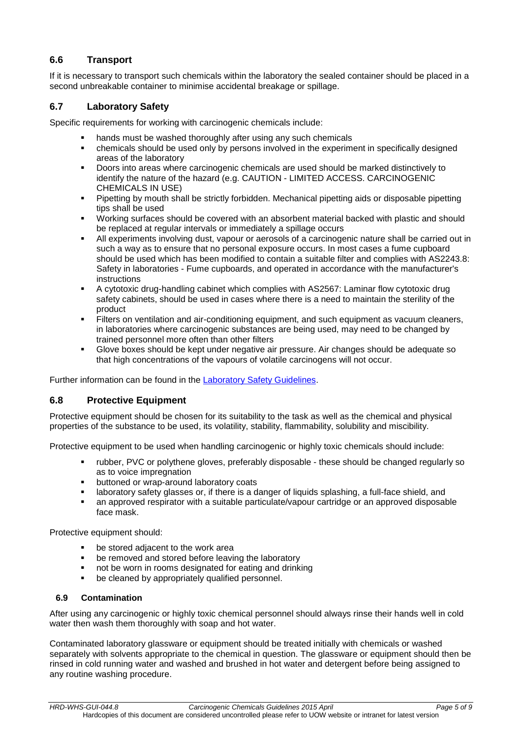# <span id="page-4-0"></span>**6.6 Transport**

If it is necessary to transport such chemicals within the laboratory the sealed container should be placed in a second unbreakable container to minimise accidental breakage or spillage.

#### <span id="page-4-1"></span>**6.7 Laboratory Safety**

Specific requirements for working with carcinogenic chemicals include:

- hands must be washed thoroughly after using any such chemicals
- chemicals should be used only by persons involved in the experiment in specifically designed areas of the laboratory
- Doors into areas where carcinogenic chemicals are used should be marked distinctively to identify the nature of the hazard (e.g. CAUTION - LIMITED ACCESS. CARCINOGENIC CHEMICALS IN USE)
- Pipetting by mouth shall be strictly forbidden. Mechanical pipetting aids or disposable pipetting tips shall be used
- Working surfaces should be covered with an absorbent material backed with plastic and should be replaced at regular intervals or immediately a spillage occurs
- All experiments involving dust, vapour or aerosols of a carcinogenic nature shall be carried out in such a way as to ensure that no personal exposure occurs. In most cases a fume cupboard should be used which has been modified to contain a suitable filter and complies with AS2243.8: Safety in laboratories - Fume cupboards, and operated in accordance with the manufacturer's instructions
- A cytotoxic drug-handling cabinet which complies with AS2567: Laminar flow cytotoxic drug safety cabinets, should be used in cases where there is a need to maintain the sterility of the product
- Filters on ventilation and air-conditioning equipment, and such equipment as vacuum cleaners, in laboratories where carcinogenic substances are being used, may need to be changed by trained personnel more often than other filters
- Glove boxes should be kept under negative air pressure. Air changes should be adequate so that high concentrations of the vapours of volatile carcinogens will not occur.

Further information can be found in the [Laboratory Safety Guidelines.](http://staff.uow.edu.au/content/groups/public/@web/@ohs/documents/doc/uow017036.pdf)

#### <span id="page-4-2"></span>**6.8 Protective Equipment**

Protective equipment should be chosen for its suitability to the task as well as the chemical and physical properties of the substance to be used, its volatility, stability, flammability, solubility and miscibility.

Protective equipment to be used when handling carcinogenic or highly toxic chemicals should include:

- rubber, PVC or polythene gloves, preferably disposable these should be changed regularly so as to voice impregnation
- **•** buttoned or wrap-around laboratory coats
- laboratory safety glasses or, if there is a danger of liquids splashing, a full-face shield, and
- an approved respirator with a suitable particulate/vapour cartridge or an approved disposable face mask.

Protective equipment should:

- be stored adjacent to the work area
- be removed and stored before leaving the laboratory
- not be worn in rooms designated for eating and drinking
- **•** be cleaned by appropriately qualified personnel.

#### <span id="page-4-3"></span>**6.9 Contamination**

After using any carcinogenic or highly toxic chemical personnel should always rinse their hands well in cold water then wash them thoroughly with soap and hot water.

Contaminated laboratory glassware or equipment should be treated initially with chemicals or washed separately with solvents appropriate to the chemical in question. The glassware or equipment should then be rinsed in cold running water and washed and brushed in hot water and detergent before being assigned to any routine washing procedure.

*HRD-WHS-GUI-044.8 Carcinogenic Chemicals Guidelines 2015 April Page 5 of 9* Hardcopies of this document are considered uncontrolled please refer to UOW website or intranet for latest version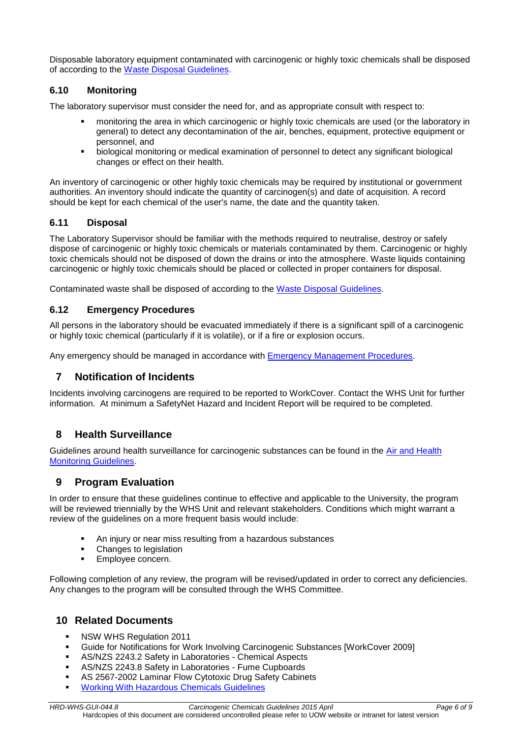Disposable laboratory equipment contaminated with carcinogenic or highly toxic chemicals shall be disposed of according to the [Waste Disposal Guidelines.](http://staff.uow.edu.au/content/groups/public/@web/@ohs/documents/doc/uow017032.pdf)

# <span id="page-5-0"></span>**6.10 Monitoring**

The laboratory supervisor must consider the need for, and as appropriate consult with respect to:

- monitoring the area in which carcinogenic or highly toxic chemicals are used (or the laboratory in general) to detect any decontamination of the air, benches, equipment, protective equipment or personnel, and
- biological monitoring or medical examination of personnel to detect any significant biological changes or effect on their health.

An inventory of carcinogenic or other highly toxic chemicals may be required by institutional or government authorities. An inventory should indicate the quantity of carcinogen(s) and date of acquisition. A record should be kept for each chemical of the user's name, the date and the quantity taken.

#### <span id="page-5-1"></span>**6.11 Disposal**

The Laboratory Supervisor should be familiar with the methods required to neutralise, destroy or safely dispose of carcinogenic or highly toxic chemicals or materials contaminated by them. Carcinogenic or highly toxic chemicals should not be disposed of down the drains or into the atmosphere. Waste liquids containing carcinogenic or highly toxic chemicals should be placed or collected in proper containers for disposal.

Contaminated waste shall be disposed of according to the [Waste Disposal Guidelines.](http://staff.uow.edu.au/content/groups/public/@web/@ohs/documents/doc/uow017032.pdf)

#### <span id="page-5-2"></span>**6.12 Emergency Procedures**

All persons in the laboratory should be evacuated immediately if there is a significant spill of a carcinogenic or highly toxic chemical (particularly if it is volatile), or if a fire or explosion occurs.

Any emergency should be managed in accordance with [Emergency Management Procedures.](https://intranet.uow.edu.au/content/groups/internal/@web/@ohs/documents/doc/uow030697.pdf)

# <span id="page-5-3"></span>**7 Notification of Incidents**

Incidents involving carcinogens are required to be reported to WorkCover. Contact the WHS Unit for further information. At minimum a SafetyNet Hazard and Incident Report will be required to be completed.

# <span id="page-5-4"></span>**8 Health Surveillance**

Guidelines around health surveillance for carcinogenic substances can be found in the [Air and Health](http://staff.uow.edu.au/ohs/workingsafely/healthandairmonitoring/index.html)  [Monitoring Guidelines.](http://staff.uow.edu.au/ohs/workingsafely/healthandairmonitoring/index.html)

# <span id="page-5-5"></span>**9 Program Evaluation**

In order to ensure that these guidelines continue to effective and applicable to the University, the program will be reviewed triennially by the WHS Unit and relevant stakeholders. Conditions which might warrant a review of the guidelines on a more frequent basis would include:

- An injury or near miss resulting from a hazardous substances
- Changes to legislation
- **Employee concern.**

Following completion of any review, the program will be revised/updated in order to correct any deficiencies. Any changes to the program will be consulted through the WHS Committee.

# <span id="page-5-6"></span>**10 Related Documents**

- **NSW WHS Regulation 2011**
- Guide for Notifications for Work Involving Carcinogenic Substances [WorkCover 2009]
- AS/NZS 2243.2 Safety in Laboratories Chemical Aspects
- AS/NZS 2243.8 Safety in Laboratories Fume Cupboards
- AS 2567-2002 Laminar Flow Cytotoxic Drug Safety Cabinets
- [Working With Hazardous Chemicals](http://staff.uow.edu.au/ohs/workingsafely/hazardoussubs/index.html) Guidelines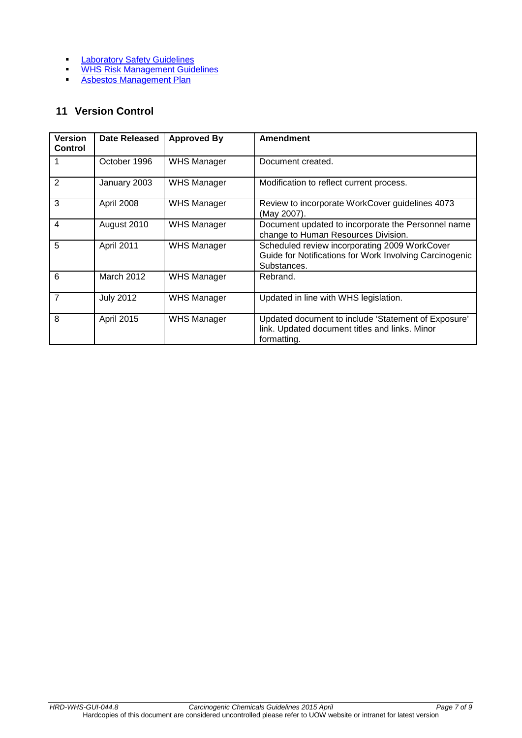- **[Laboratory Safety Guidelines](http://staff.uow.edu.au/ohs/workingsafely/labsafety/index.html)**
- **[WHS Risk Management Guidelines](http://staff.uow.edu.au/content/groups/public/@web/@ohs/documents/doc/uow016948.pdf)**
- **[Asbestos Management Plan](http://staff.uow.edu.au/ohs/workingsafely/Asbestos/index.html)**

# <span id="page-6-0"></span>**11 Version Control**

| <b>Version</b><br><b>Control</b> | <b>Date Released</b> | <b>Approved By</b> | <b>Amendment</b>                                                                                                        |
|----------------------------------|----------------------|--------------------|-------------------------------------------------------------------------------------------------------------------------|
|                                  | October 1996         | <b>WHS Manager</b> | Document created.                                                                                                       |
| $\overline{2}$                   | January 2003         | <b>WHS Manager</b> | Modification to reflect current process.                                                                                |
| 3                                | April 2008           | <b>WHS Manager</b> | Review to incorporate WorkCover guidelines 4073<br>(May 2007).                                                          |
| 4                                | August 2010          | <b>WHS Manager</b> | Document updated to incorporate the Personnel name<br>change to Human Resources Division.                               |
| 5                                | April 2011           | <b>WHS Manager</b> | Scheduled review incorporating 2009 WorkCover<br>Guide for Notifications for Work Involving Carcinogenic<br>Substances. |
| 6                                | March 2012           | <b>WHS Manager</b> | Rebrand.                                                                                                                |
| $\overline{7}$                   | <b>July 2012</b>     | <b>WHS Manager</b> | Updated in line with WHS legislation.                                                                                   |
| 8                                | April 2015           | <b>WHS Manager</b> | Updated document to include 'Statement of Exposure'<br>link. Updated document titles and links. Minor<br>formatting.    |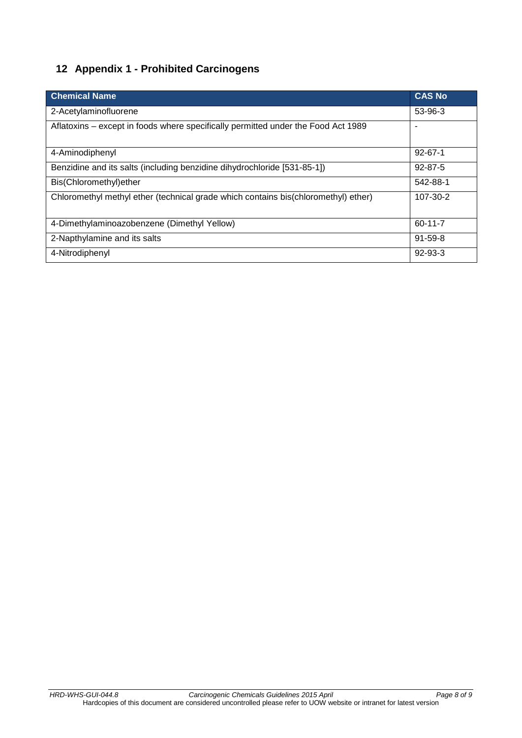# <span id="page-7-0"></span>**12 Appendix 1 - Prohibited Carcinogens**

| <b>Chemical Name</b>                                                               | <b>CAS No</b>            |
|------------------------------------------------------------------------------------|--------------------------|
| 2-Acetylaminofluorene                                                              | 53-96-3                  |
| Aflatoxins – except in foods where specifically permitted under the Food Act 1989  | $\overline{\phantom{a}}$ |
| 4-Aminodiphenyl                                                                    | $92 - 67 - 1$            |
| Benzidine and its salts (including benzidine dihydrochloride [531-85-1])           | $92 - 87 - 5$            |
| Bis(Chloromethyl) ether                                                            | 542-88-1                 |
| Chloromethyl methyl ether (technical grade which contains bis(chloromethyl) ether) | 107-30-2                 |
| 4-Dimethylaminoazobenzene (Dimethyl Yellow)                                        | 60-11-7                  |
| 2-Napthylamine and its salts                                                       | $91 - 59 - 8$            |
| 4-Nitrodiphenyl                                                                    | $92 - 93 - 3$            |